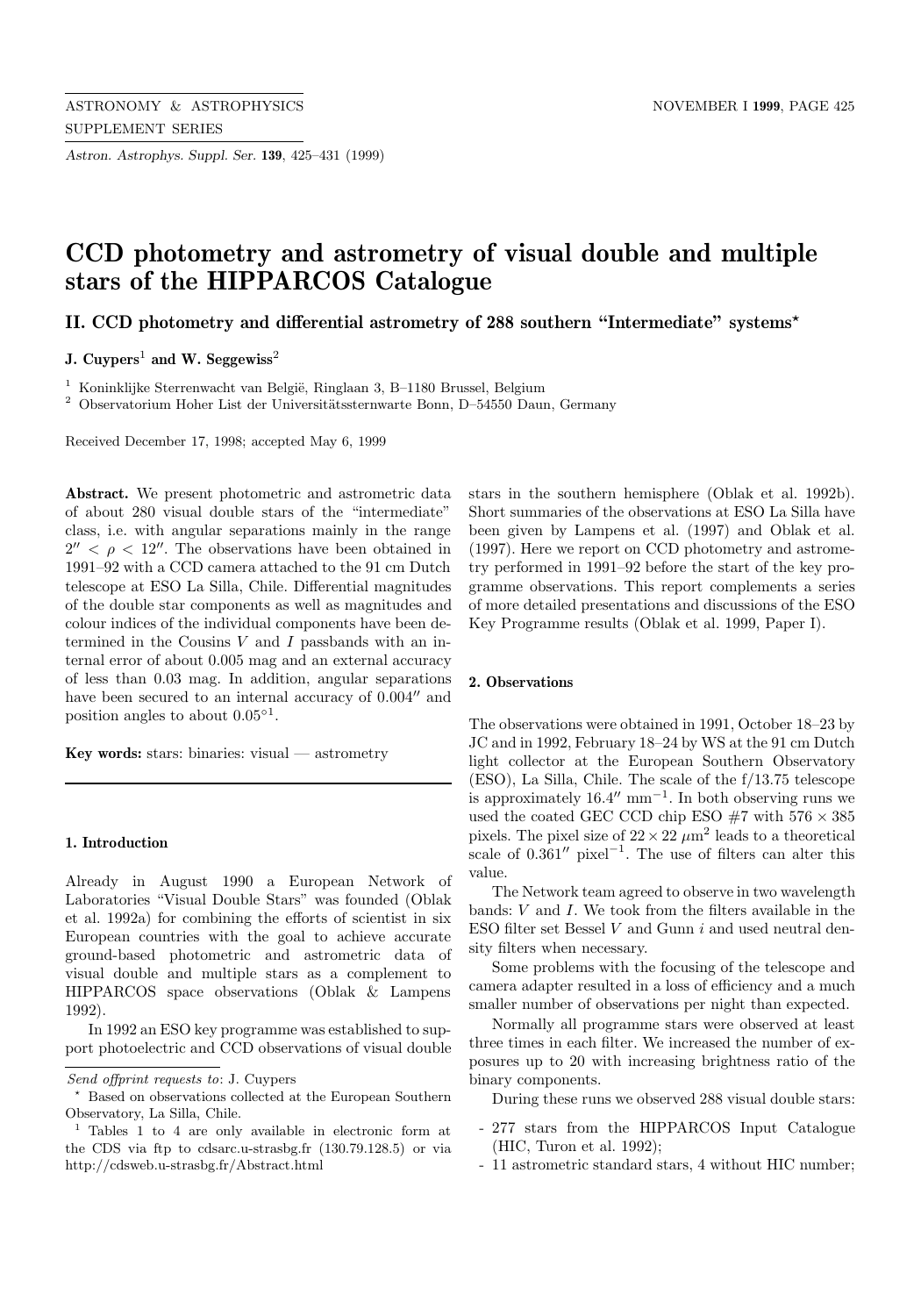*Astron. Astrophys. Suppl. Ser.* **139**, 425–431 (1999)

# **CCD photometry and astrometry of visual double and multiple stars of the HIPPARCOS Catalogue**

**II. CCD photometry and differential astrometry of 288 southern "Intermediate" systems**?

**J. Cuypers**<sup>1</sup> **and W. Seggewiss**<sup>2</sup>

 $1$  Koninklijke Sterrenwacht van België, Ringlaan 3, B-1180 Brussel, Belgium

 $^2$  Observatorium Hoher List der Universitätssternwarte Bonn, D–54550 Daun, Germany

Received December 17, 1998; accepted May 6, 1999

**Abstract.** We present photometric and astrometric data of about 280 visual double stars of the "intermediate" class, i.e. with angular separations mainly in the range  $2'' < \rho < 12''$ . The observations have been obtained in 1991–92 with a CCD camera attached to the 91 cm Dutch telescope at ESO La Silla, Chile. Differential magnitudes of the double star components as well as magnitudes and colour indices of the individual components have been determined in the Cousins  $V$  and  $I$  passbands with an internal error of about 0.005 mag and an external accuracy of less than 0.03 mag. In addition, angular separations have been secured to an internal accuracy of  $0.004''$  and position angles to about  $0.05^{\circ 1}$ .

**Key words:** stars: binaries: visual — astrometry

## **1. Introduction**

Already in August 1990 a European Network of Laboratories "Visual Double Stars" was founded (Oblak et al. 1992a) for combining the efforts of scientist in six European countries with the goal to achieve accurate ground-based photometric and astrometric data of visual double and multiple stars as a complement to HIPPARCOS space observations (Oblak & Lampens 1992).

In 1992 an ESO key programme was established to support photoelectric and CCD observations of visual double stars in the southern hemisphere (Oblak et al. 1992b). Short summaries of the observations at ESO La Silla have been given by Lampens et al. (1997) and Oblak et al. (1997). Here we report on CCD photometry and astrometry performed in 1991–92 before the start of the key programme observations. This report complements a series of more detailed presentations and discussions of the ESO Key Programme results (Oblak et al. 1999, Paper I).

#### **2. Observations**

The observations were obtained in 1991, October 18–23 by JC and in 1992, February 18–24 by WS at the 91 cm Dutch light collector at the European Southern Observatory (ESO), La Silla, Chile. The scale of the f/13.75 telescope is approximately  $16.4^{\prime\prime}$  mm<sup>-1</sup>. In both observing runs we used the coated GEC CCD chip ESO  $#7$  with  $576 \times 385$ pixels. The pixel size of  $22 \times 22 \ \mu m^2$  leads to a theoretical scale of  $0.361''$  pixel<sup>-1</sup>. The use of filters can alter this value.

The Network team agreed to observe in two wavelength bands: V and I. We took from the filters available in the ESO filter set Bessel  $V$  and Gunn  $i$  and used neutral density filters when necessary.

Some problems with the focusing of the telescope and camera adapter resulted in a loss of efficiency and a much smaller number of observations per night than expected.

Normally all programme stars were observed at least three times in each filter. We increased the number of exposures up to 20 with increasing brightness ratio of the binary components.

During these runs we observed 288 visual double stars:

- 277 stars from the HIPPARCOS Input Catalogue (HIC, Turon et al. 1992);
- 11 astrometric standard stars, 4 without HIC number;

Send offprint requests to: J. Cuypers

<sup>?</sup> Based on observations collected at the European Southern Observatory, La Silla, Chile.

<sup>1</sup> Tables 1 to 4 are only available in electronic form at the CDS via ftp to cdsarc.u-strasbg.fr (130.79.128.5) or via http://cdsweb.u-strasbg.fr/Abstract.html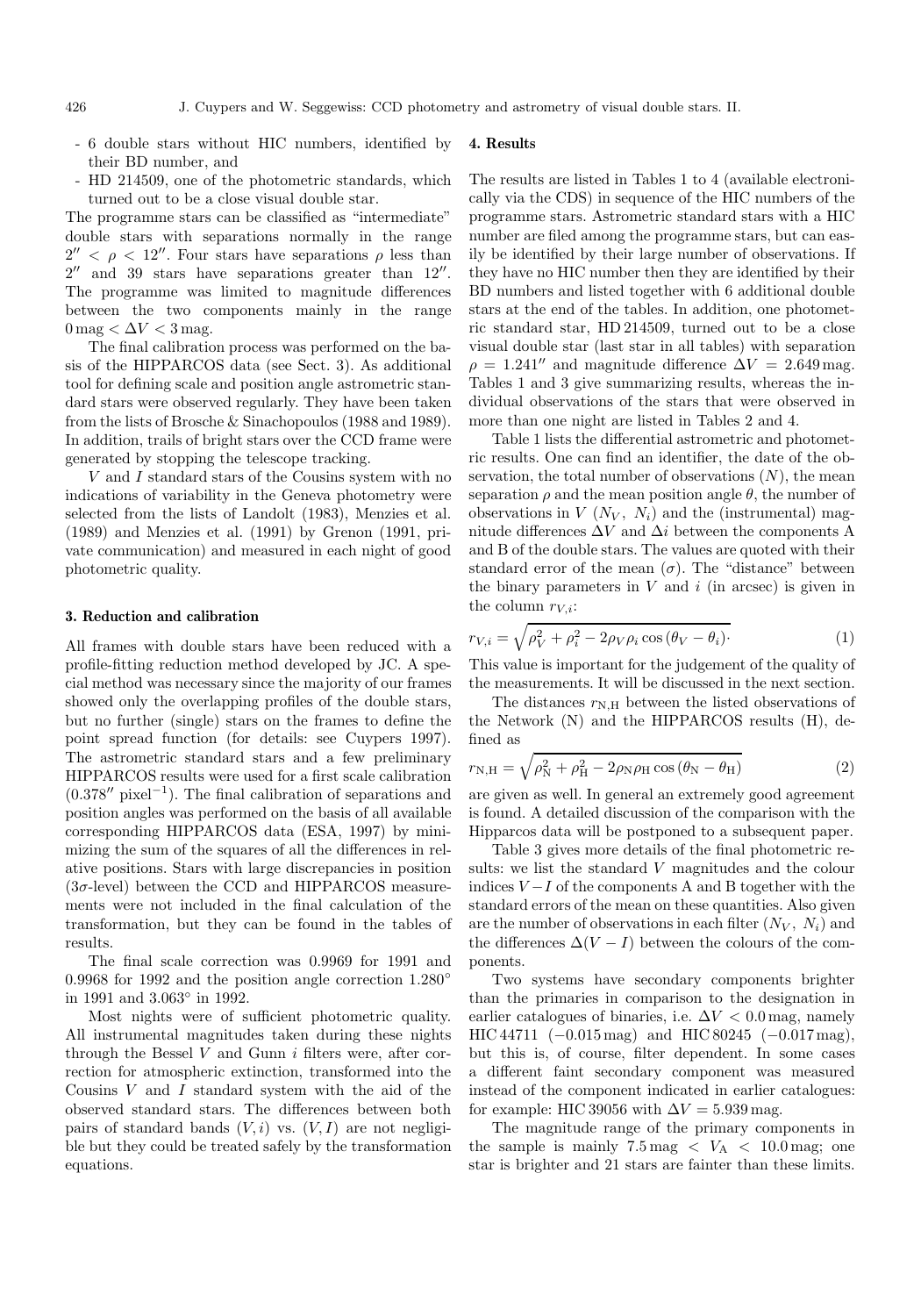- 6 double stars without HIC numbers, identified by their BD number, and **4. Results**
- HD 214509, one of the photometric standards, which turned out to be a close visual double star.

The programme stars can be classified as "intermediate" double stars with separations normally in the range  $2'' < \rho < 12''$ . Four stars have separations  $\rho$  less than  $2''$  and 39 stars have separations greater than  $12''$ . The programme was limited to magnitude differences between the two components mainly in the range  $0 \,\text{mag} < \Delta V < 3 \,\text{mag}.$ 

The final calibration process was performed on the basis of the HIPPARCOS data (see Sect. 3). As additional tool for defining scale and position angle astrometric standard stars were observed regularly. They have been taken from the lists of Brosche & Sinachopoulos (1988 and 1989). In addition, trails of bright stars over the CCD frame were generated by stopping the telescope tracking.

V and I standard stars of the Cousins system with no indications of variability in the Geneva photometry were selected from the lists of Landolt (1983), Menzies et al. (1989) and Menzies et al. (1991) by Grenon (1991, private communication) and measured in each night of good photometric quality.

## **3. Reduction and calibration**

All frames with double stars have been reduced with a profile-fitting reduction method developed by JC. A special method was necessary since the majority of our frames showed only the overlapping profiles of the double stars, but no further (single) stars on the frames to define the point spread function (for details: see Cuypers 1997). The astrometric standard stars and a few preliminary HIPPARCOS results were used for a first scale calibration  $(0.378<sup>′</sup>$  pixel<sup>-1</sup>). The final calibration of separations and position angles was performed on the basis of all available corresponding HIPPARCOS data (ESA, 1997) by minimizing the sum of the squares of all the differences in relative positions. Stars with large discrepancies in position  $(3\sigma$ -level) between the CCD and HIPPARCOS measurements were not included in the final calculation of the transformation, but they can be found in the tables of results.

The final scale correction was 0.9969 for 1991 and 0.9968 for 1992 and the position angle correction 1.280◦ in 1991 and 3.063◦ in 1992.

Most nights were of sufficient photometric quality. All instrumental magnitudes taken during these nights through the Bessel  $V$  and Gunn  $i$  filters were, after correction for atmospheric extinction, transformed into the Cousins V and I standard system with the aid of the observed standard stars. The differences between both pairs of standard bands  $(V, i)$  vs.  $(V, I)$  are not negligible but they could be treated safely by the transformation equations.

The results are listed in Tables 1 to 4 (available electronically via the CDS) in sequence of the HIC numbers of the programme stars. Astrometric standard stars with a HIC number are filed among the programme stars, but can easily be identified by their large number of observations. If they have no HIC number then they are identified by their BD numbers and listed together with 6 additional double stars at the end of the tables. In addition, one photometric standard star, HD 214509, turned out to be a close visual double star (last star in all tables) with separation  $\rho = 1.241''$  and magnitude difference  $\Delta V = 2.649$  mag. Tables 1 and 3 give summarizing results, whereas the individual observations of the stars that were observed in more than one night are listed in Tables 2 and 4.

Table 1 lists the differential astrometric and photometric results. One can find an identifier, the date of the observation, the total number of observations  $(N)$ , the mean separation  $\rho$  and the mean position angle  $\theta$ , the number of observations in  $V(N_V, N_i)$  and the (instrumental) magnitude differences  $\Delta V$  and  $\Delta i$  between the components A and B of the double stars. The values are quoted with their standard error of the mean  $(\sigma)$ . The "distance" between the binary parameters in  $V$  and  $i$  (in arcsec) is given in the column  $r_{V,i}$ :

$$
r_{V,i} = \sqrt{\rho_V^2 + \rho_i^2 - 2\rho_V \rho_i \cos(\theta_V - \theta_i)}.
$$
\n(1)

This value is important for the judgement of the quality of the measurements. It will be discussed in the next section.

The distances  $r_{N,H}$  between the listed observations of the Network (N) and the HIPPARCOS results (H), defined as

$$
r_{\rm N,H} = \sqrt{\rho_{\rm N}^2 + \rho_{\rm H}^2 - 2\rho_{\rm N}\rho_{\rm H}\cos\left(\theta_{\rm N} - \theta_{\rm H}\right)}
$$
(2)

are given as well. In general an extremely good agreement is found. A detailed discussion of the comparison with the Hipparcos data will be postponed to a subsequent paper.

Table 3 gives more details of the final photometric results: we list the standard V magnitudes and the colour indices  $V-I$  of the components A and B together with the standard errors of the mean on these quantities. Also given are the number of observations in each filter  $(N_V, N_i)$  and the differences  $\Delta (V - I)$  between the colours of the components.

Two systems have secondary components brighter than the primaries in comparison to the designation in earlier catalogues of binaries, i.e.  $\Delta V < 0.0$  mag, namely HIC 44711  $(-0.015 \text{ mag})$  and HIC 80245  $(-0.017 \text{ mag})$ , but this is, of course, filter dependent. In some cases a different faint secondary component was measured instead of the component indicated in earlier catalogues: for example: HIC 39056 with  $\Delta V = 5.939$  mag.

The magnitude range of the primary components in the sample is mainly  $7.5 \text{ mag} < V_A < 10.0 \text{ mag}$ ; one star is brighter and 21 stars are fainter than these limits.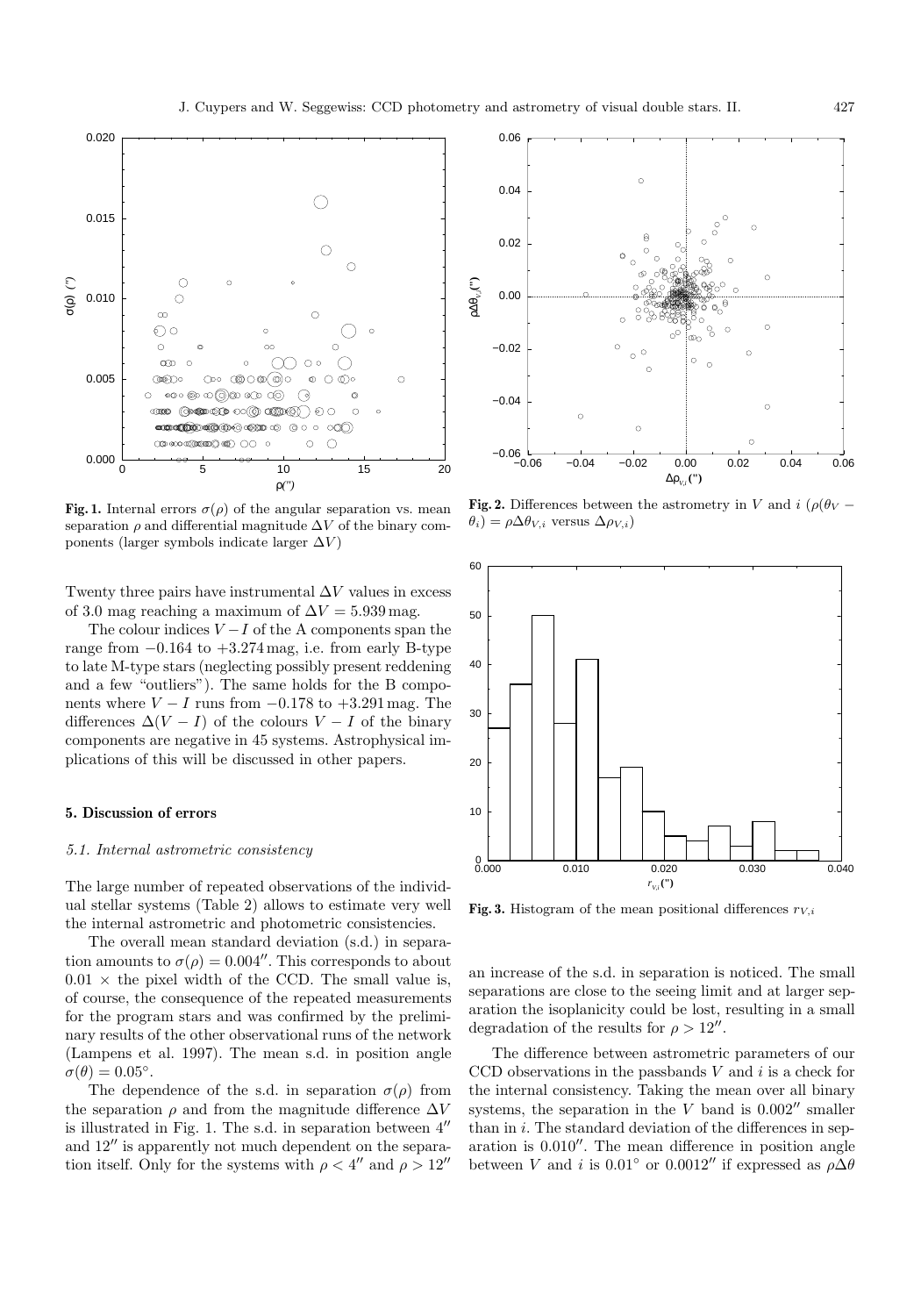

**Fig. 1.** Internal errors  $\sigma(\rho)$  of the angular separation vs. mean separation  $\rho$  and differential magnitude  $\Delta V$  of the binary components (larger symbols indicate larger  $\Delta V$ )

Twenty three pairs have instrumental  $\Delta V$  values in excess of 3.0 mag reaching a maximum of  $\Delta V = 5.939\,\mathrm{mag}.$ 

The colour indices  $V-I$  of the A components span the range from  $-0.164$  to  $+3.274$  mag, i.e. from early B-type to late M-type stars (neglecting possibly present reddening and a few "outliers"). The same holds for the B components where  $V - I$  runs from  $-0.178$  to  $+3.291$  mag. The differences  $\Delta (V - I)$  of the colours  $V - I$  of the binary components are negative in 45 systems. Astrophysical implications of this will be discussed in other papers.

## **5. Discussion of errors**

## 5.1. Internal astrometric consistency

The large number of repeated observations of the individual stellar systems (Table 2) allows to estimate very well the internal astrometric and photometric consistencies.

The overall mean standard deviation (s.d.) in separation amounts to  $\sigma(\rho)=0.004''$ . This corresponds to about  $0.01 \times$  the pixel width of the CCD. The small value is, of course, the consequence of the repeated measurements for the program stars and was confirmed by the preliminary results of the other observational runs of the network (Lampens et al. 1997). The mean s.d. in position angle  $\sigma(\theta)=0.05^{\circ}$ .

The dependence of the s.d. in separation  $\sigma(\rho)$  from the separation  $\rho$  and from the magnitude difference  $\Delta V$ is illustrated in Fig. 1. The s.d. in separation between  $4^{\prime\prime}$ and  $12^{\prime\prime}$  is apparently not much dependent on the separation itself. Only for the systems with  $\rho < 4$ <sup>n</sup> and  $\rho > 12$ <sup>n</sup>



**Fig. 2.** Differences between the astrometry in V and  $i$  ( $\rho$ ( $\theta$ <sub>V</sub> –  $\theta_i$ ) =  $\rho \Delta \theta_{V,i}$  versus  $\Delta \rho_{V,i}$ )



**Fig. 3.** Histogram of the mean positional differences  $r_{V,i}$ 

an increase of the s.d. in separation is noticed. The small separations are close to the seeing limit and at larger separation the isoplanicity could be lost, resulting in a small degradation of the results for  $\rho > 12''$ .

The difference between astrometric parameters of our CCD observations in the passbands  $V$  and  $i$  is a check for the internal consistency. Taking the mean over all binary systems, the separation in the  $V$  band is  $0.002''$  smaller than in  $i$ . The standard deviation of the differences in separation is  $0.010''$ . The mean difference in position angle between V and i is 0.01° or 0.0012″ if expressed as  $\rho \Delta \theta$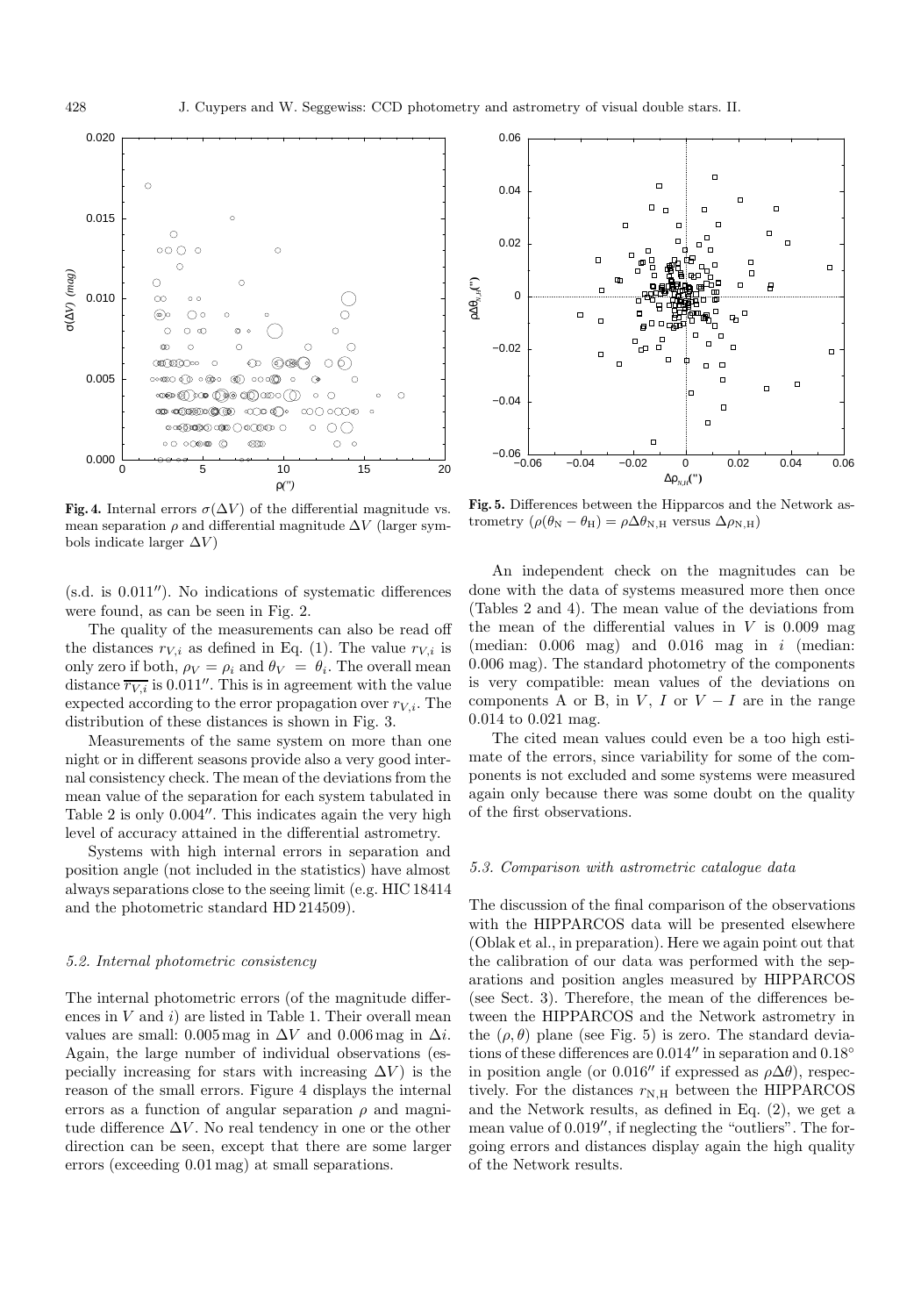

**Fig. 4.** Internal errors  $\sigma(\Delta V)$  of the differential magnitude vs. mean separation  $\rho$  and differential magnitude  $\Delta V$  (larger symbols indicate larger  $\Delta V$ )

 $(s.d.$  is  $0.011'$ . No indications of systematic differences were found, as can be seen in Fig. 2.

The quality of the measurements can also be read off the distances  $r_{V,i}$  as defined in Eq. (1). The value  $r_{V,i}$  is only zero if both,  $\rho_V = \rho_i$  and  $\theta_V = \theta_i$ . The overall mean distance  $\overline{r_{V,i}}$  is 0.011". This is in agreement with the value expected according to the error propagation over  $r_{V,i}$ . The distribution of these distances is shown in Fig. 3.

Measurements of the same system on more than one night or in different seasons provide also a very good internal consistency check. The mean of the deviations from the mean value of the separation for each system tabulated in Table 2 is only  $0.004''$ . This indicates again the very high level of accuracy attained in the differential astrometry.

Systems with high internal errors in separation and position angle (not included in the statistics) have almost always separations close to the seeing limit (e.g. HIC 18414 and the photometric standard HD 214509).

#### 5.2. Internal photometric consistency

The internal photometric errors (of the magnitude differences in  $V$  and  $i)$  are listed in Table 1. Their overall mean values are small: 0.005 mag in  $\Delta V$  and 0.006 mag in  $\Delta i$ . Again, the large number of individual observations (especially increasing for stars with increasing  $\Delta V$ ) is the reason of the small errors. Figure 4 displays the internal errors as a function of angular separation  $\rho$  and magnitude difference  $\Delta V$ . No real tendency in one or the other direction can be seen, except that there are some larger errors (exceeding 0.01 mag) at small separations.



**Fig. 5.** Differences between the Hipparcos and the Network astrometry  $(\rho(\theta_N - \theta_H) = \rho \Delta \theta_{N,H}$  versus  $\Delta \rho_{N,H}$ )

An independent check on the magnitudes can be done with the data of systems measured more then once (Tables 2 and 4). The mean value of the deviations from the mean of the differential values in  $V$  is 0.009 mag (median:  $0.006$  mag) and  $0.016$  mag in i (median: 0.006 mag). The standard photometry of the components is very compatible: mean values of the deviations on components A or B, in  $V$ , I or  $V - I$  are in the range 0.014 to 0.021 mag.

The cited mean values could even be a too high estimate of the errors, since variability for some of the components is not excluded and some systems were measured again only because there was some doubt on the quality of the first observations.

## 5.3. Comparison with astrometric catalogue data

The discussion of the final comparison of the observations with the HIPPARCOS data will be presented elsewhere (Oblak et al., in preparation). Here we again point out that the calibration of our data was performed with the separations and position angles measured by HIPPARCOS (see Sect. 3). Therefore, the mean of the differences between the HIPPARCOS and the Network astrometry in the  $(\rho, \theta)$  plane (see Fig. 5) is zero. The standard deviations of these differences are  $0.014''$  in separation and  $0.18°$ in position angle (or 0.016" if expressed as  $\rho \Delta \theta$ ), respectively. For the distances  $r_{N,H}$  between the HIPPARCOS and the Network results, as defined in Eq. (2), we get a mean value of  $0.019''$ , if neglecting the "outliers". The forgoing errors and distances display again the high quality of the Network results.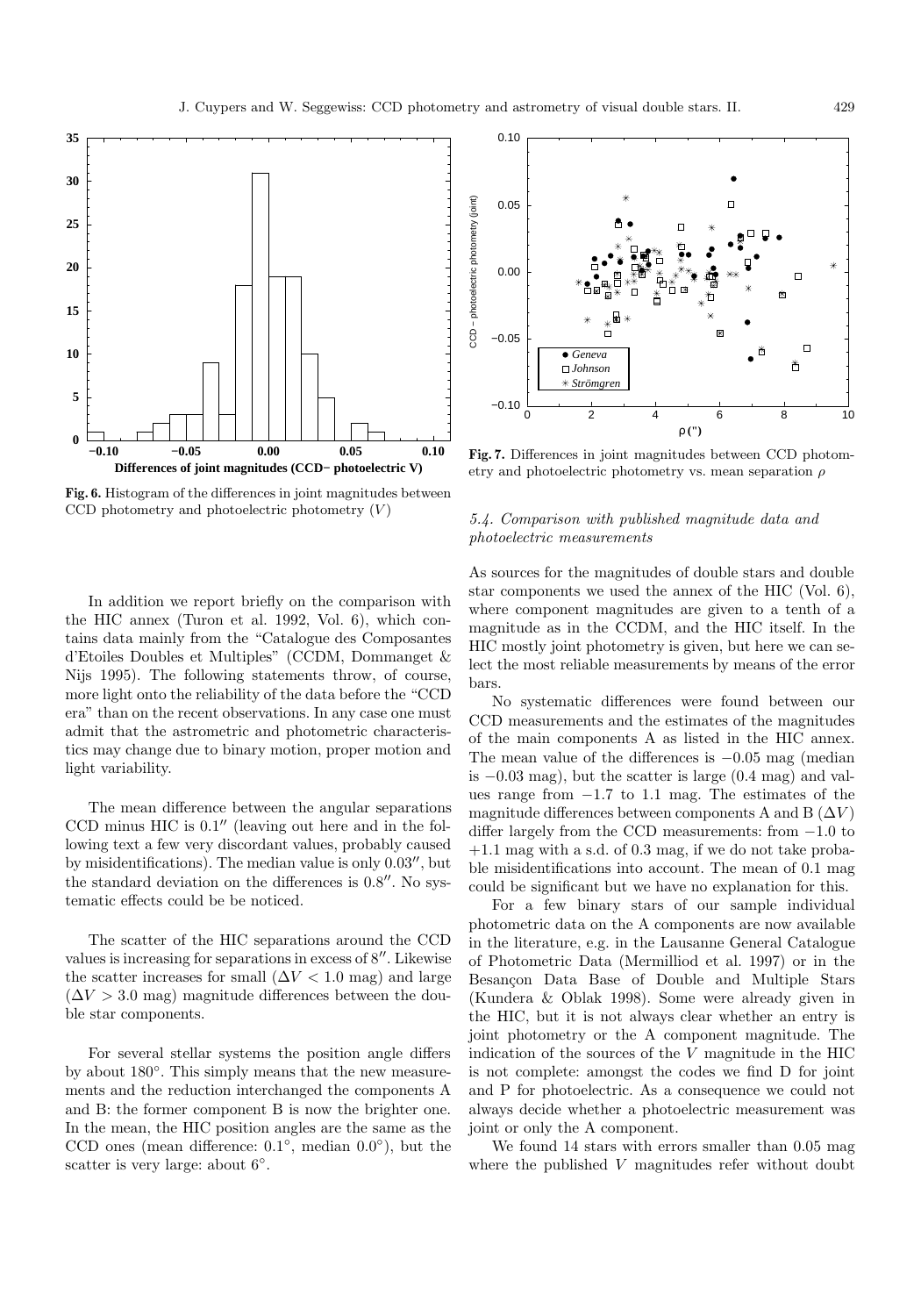

**Fig. 6.** Histogram of the differences in joint magnitudes between CCD photometry and photoelectric photometry  $(V)$ 

In addition we report briefly on the comparison with the HIC annex (Turon et al. 1992, Vol. 6), which contains data mainly from the "Catalogue des Composantes d'Etoiles Doubles et Multiples" (CCDM, Dommanget & Nijs 1995). The following statements throw, of course, more light onto the reliability of the data before the "CCD era" than on the recent observations. In any case one must admit that the astrometric and photometric characteristics may change due to binary motion, proper motion and light variability.

The mean difference between the angular separations  $CCD$  minus HIC is  $0.1$ " (leaving out here and in the following text a few very discordant values, probably caused by misidentifications). The median value is only  $0.03''$ , but the standard deviation on the differences is  $0.8$ ". No systematic effects could be be noticed.

The scatter of the HIC separations around the CCD values is increasing for separations in excess of  $8^{\prime\prime}$ . Likewise the scatter increases for small  $(\Delta V < 1.0$  mag) and large  $(\Delta V > 3.0$  mag) magnitude differences between the double star components.

For several stellar systems the position angle differs by about 180◦. This simply means that the new measurements and the reduction interchanged the components A and B: the former component B is now the brighter one. In the mean, the HIC position angles are the same as the CCD ones (mean difference:  $0.1°$ , median  $0.0°$ ), but the scatter is very large: about 6◦.



**Fig. 7.** Differences in joint magnitudes between CCD photometry and photoelectric photometry vs. mean separation  $\rho$ 

# 5.4. Comparison with published magnitude data and photoelectric measurements

As sources for the magnitudes of double stars and double star components we used the annex of the HIC (Vol. 6), where component magnitudes are given to a tenth of a magnitude as in the CCDM, and the HIC itself. In the HIC mostly joint photometry is given, but here we can select the most reliable measurements by means of the error bars.

No systematic differences were found between our CCD measurements and the estimates of the magnitudes of the main components A as listed in the HIC annex. The mean value of the differences is  $-0.05$  mag (median is  $-0.03$  mag), but the scatter is large  $(0.4 \text{ mag})$  and values range from  $-1.7$  to 1.1 mag. The estimates of the magnitude differences between components A and B  $(\Delta V)$ differ largely from the CCD measurements: from −1.0 to +1.1 mag with a s.d. of 0.3 mag, if we do not take probable misidentifications into account. The mean of 0.1 mag could be significant but we have no explanation for this.

For a few binary stars of our sample individual photometric data on the A components are now available in the literature, e.g. in the Lausanne General Catalogue of Photometric Data (Mermilliod et al. 1997) or in the Besançon Data Base of Double and Multiple Stars (Kundera & Oblak 1998). Some were already given in the HIC, but it is not always clear whether an entry is joint photometry or the A component magnitude. The indication of the sources of the  $V$  magnitude in the HIC is not complete: amongst the codes we find D for joint and P for photoelectric. As a consequence we could not always decide whether a photoelectric measurement was joint or only the A component.

We found 14 stars with errors smaller than 0.05 mag where the published V magnitudes refer without doubt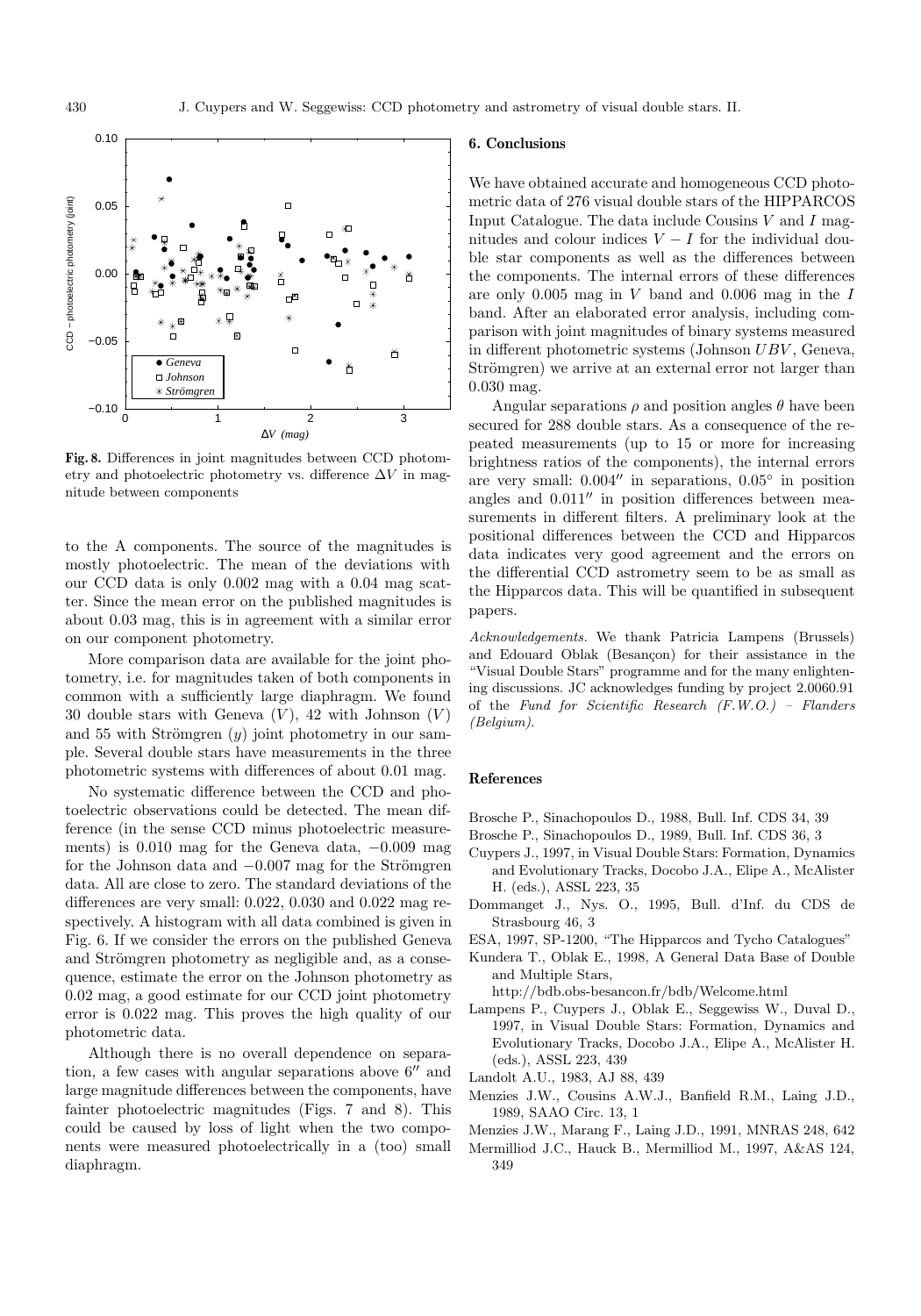

**Fig. 8.** Differences in joint magnitudes between CCD photometry and photoelectric photometry vs. difference  $\Delta V$  in magnitude between components

to the A components. The source of the magnitudes is mostly photoelectric. The mean of the deviations with our CCD data is only 0.002 mag with a 0.04 mag scatter. Since the mean error on the published magnitudes is about 0.03 mag, this is in agreement with a similar error on our component photometry.

More comparison data are available for the joint photometry, i.e. for magnitudes taken of both components in common with a sufficiently large diaphragm. We found 30 double stars with Geneva  $(V)$ , 42 with Johnson  $(V)$ and 55 with Strömgren  $(y)$  joint photometry in our sample. Several double stars have measurements in the three photometric systems with differences of about 0.01 mag.

No systematic difference between the CCD and photoelectric observations could be detected. The mean difference (in the sense CCD minus photoelectric measurements) is 0.010 mag for the Geneva data, −0.009 mag for the Johnson data and  $-0.007$  mag for the Strömgren data. All are close to zero. The standard deviations of the differences are very small: 0.022, 0.030 and 0.022 mag respectively. A histogram with all data combined is given in Fig. 6. If we consider the errors on the published Geneva and Strömgren photometry as negligible and, as a consequence, estimate the error on the Johnson photometry as 0.02 mag, a good estimate for our CCD joint photometry error is 0.022 mag. This proves the high quality of our photometric data.

Although there is no overall dependence on separation, a few cases with angular separations above  $6^{\prime\prime}$  and large magnitude differences between the components, have fainter photoelectric magnitudes (Figs. 7 and 8). This could be caused by loss of light when the two components were measured photoelectrically in a (too) small diaphragm.

#### **6. Conclusions**

We have obtained accurate and homogeneous CCD photometric data of 276 visual double stars of the HIPPARCOS Input Catalogue. The data include Cousins  $V$  and  $I$  magnitudes and colour indices  $V - I$  for the individual double star components as well as the differences between the components. The internal errors of these differences are only 0.005 mag in  $V$  band and 0.006 mag in the  $I$ band. After an elaborated error analysis, including comparison with joint magnitudes of binary systems measured in different photometric systems (Johnson UBV , Geneva, Strömgren) we arrive at an external error not larger than 0.030 mag.

Angular separations  $\rho$  and position angles  $\theta$  have been secured for 288 double stars. As a consequence of the repeated measurements (up to 15 or more for increasing brightness ratios of the components), the internal errors are very small:  $0.004''$  in separations,  $0.05°$  in position angles and  $0.011''$  in position differences between measurements in different filters. A preliminary look at the positional differences between the CCD and Hipparcos data indicates very good agreement and the errors on the differential CCD astrometry seem to be as small as the Hipparcos data. This will be quantified in subsequent papers.

Acknowledgements. We thank Patricia Lampens (Brussels) and Edouard Oblak (Besancon) for their assistance in the "Visual Double Stars" programme and for the many enlightening discussions. JC acknowledges funding by project 2.0060.91 of the Fund for Scientific Research (F.W.O.) – Flanders (Belgium).

#### **References**

- Brosche P., Sinachopoulos D., 1988, Bull. Inf. CDS 34, 39
- Brosche P., Sinachopoulos D., 1989, Bull. Inf. CDS 36, 3
- Cuypers J., 1997, in Visual Double Stars: Formation, Dynamics and Evolutionary Tracks, Docobo J.A., Elipe A., McAlister H. (eds.), ASSL 223, 35
- Dommanget J., Nys. O., 1995, Bull. d'Inf. du CDS de Strasbourg 46, 3
- ESA, 1997, SP-1200, "The Hipparcos and Tycho Catalogues"
- Kundera T., Oblak E., 1998, A General Data Base of Double and Multiple Stars,

http://bdb.obs-besancon.fr/bdb/Welcome.html

- Lampens P., Cuypers J., Oblak E., Seggewiss W., Duval D., 1997, in Visual Double Stars: Formation, Dynamics and Evolutionary Tracks, Docobo J.A., Elipe A., McAlister H. (eds.), ASSL 223, 439
- Landolt A.U., 1983, AJ 88, 439
- Menzies J.W., Cousins A.W.J., Banfield R.M., Laing J.D., 1989, SAAO Circ. 13, 1
- Menzies J.W., Marang F., Laing J.D., 1991, MNRAS 248, 642
- Mermilliod J.C., Hauck B., Mermilliod M., 1997, A&AS 124, 349